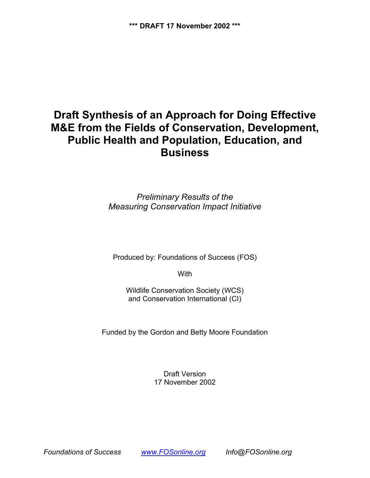# **Draft Synthesis of an Approach for Doing Effective M&E from the Fields of Conservation, Development, Public Health and Population, Education, and Business**

*Preliminary Results of the Measuring Conservation Impact Initiative*

Produced by: Foundations of Success (FOS)

**With** 

Wildlife Conservation Society (WCS) and Conservation International (CI)

Funded by the Gordon and Betty Moore Foundation

Draft Version 17 November 2002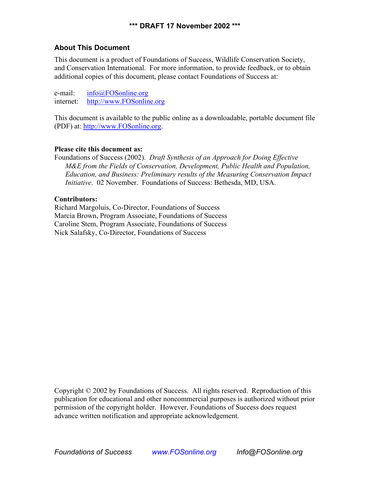### **About This Document**

This document is a product of Foundations of Success, Wildlife Conservation Society, and Conservation International. For more information, to provide feedback, or to obtain additional copies of this document, please contact Foundations of Success at:

e-mail: [info@FOSonline.org](mailto:info@FOSonline.org) internet: [http://www.FOSonline.org](http://www.fosonline.org/)

This document is available to the public online as a downloadable, portable document file (PDF) at: [http://www.FOSonline.org.](http://www.fosonline.org/)

#### **Please cite this document as:**

Foundations of Success (2002). *Draft Synthesis of an Approach for Doing Effective M&E from the Fields of Conservation, Development, Public Health and Population, Education, and Business: Preliminary results of the Measuring Conservation Impact Initiative*. 02 November. Foundations of Success: Bethesda, MD, USA.

#### **Contributors:**

Richard Margoluis, Co-Director, Foundations of Success Marcia Brown, Program Associate, Foundations of Success Caroline Stem, Program Associate, Foundations of Success Nick Salafsky, Co-Director, Foundations of Success

Copyright © 2002 by Foundations of Success. All rights reserved. Reproduction of this publication for educational and other noncommercial purposes is authorized without prior permission of the copyright holder. However, Foundations of Success does request advance written notification and appropriate acknowledgement.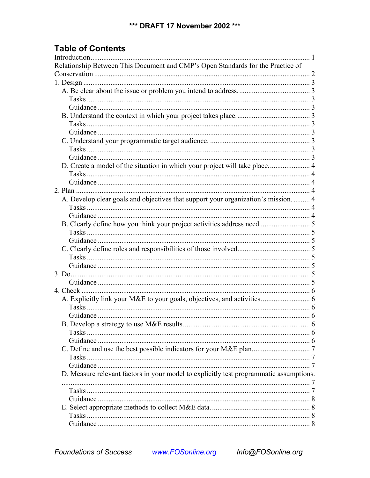## **Table of Contents**

| Relationship Between This Document and CMP's Open Standards for the Practice of        |  |
|----------------------------------------------------------------------------------------|--|
|                                                                                        |  |
|                                                                                        |  |
|                                                                                        |  |
|                                                                                        |  |
|                                                                                        |  |
|                                                                                        |  |
|                                                                                        |  |
|                                                                                        |  |
|                                                                                        |  |
|                                                                                        |  |
|                                                                                        |  |
|                                                                                        |  |
|                                                                                        |  |
|                                                                                        |  |
|                                                                                        |  |
| A. Develop clear goals and objectives that support your organization's mission.  4     |  |
|                                                                                        |  |
|                                                                                        |  |
|                                                                                        |  |
|                                                                                        |  |
|                                                                                        |  |
|                                                                                        |  |
|                                                                                        |  |
|                                                                                        |  |
|                                                                                        |  |
|                                                                                        |  |
|                                                                                        |  |
|                                                                                        |  |
|                                                                                        |  |
|                                                                                        |  |
|                                                                                        |  |
|                                                                                        |  |
|                                                                                        |  |
|                                                                                        |  |
|                                                                                        |  |
|                                                                                        |  |
|                                                                                        |  |
| D. Measure relevant factors in your model to explicitly test programmatic assumptions. |  |
|                                                                                        |  |
|                                                                                        |  |
|                                                                                        |  |
|                                                                                        |  |
|                                                                                        |  |
|                                                                                        |  |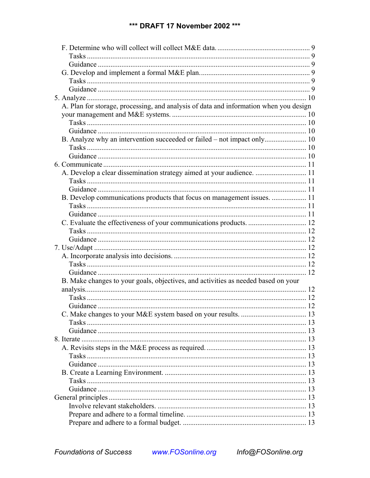### \*\*\* DRAFT 17 November 2002 \*\*\*

| A. Plan for storage, processing, and analysis of data and information when you design |  |
|---------------------------------------------------------------------------------------|--|
|                                                                                       |  |
|                                                                                       |  |
|                                                                                       |  |
|                                                                                       |  |
|                                                                                       |  |
|                                                                                       |  |
|                                                                                       |  |
| A. Develop a clear dissemination strategy aimed at your audience.  11                 |  |
|                                                                                       |  |
|                                                                                       |  |
| B. Develop communications products that focus on management issues.  11               |  |
|                                                                                       |  |
|                                                                                       |  |
|                                                                                       |  |
|                                                                                       |  |
|                                                                                       |  |
|                                                                                       |  |
|                                                                                       |  |
|                                                                                       |  |
|                                                                                       |  |
| B. Make changes to your goals, objectives, and activities as needed based on your     |  |
|                                                                                       |  |
|                                                                                       |  |
|                                                                                       |  |
|                                                                                       |  |
|                                                                                       |  |
|                                                                                       |  |
|                                                                                       |  |
|                                                                                       |  |
|                                                                                       |  |
|                                                                                       |  |
|                                                                                       |  |
|                                                                                       |  |
|                                                                                       |  |
|                                                                                       |  |
|                                                                                       |  |
|                                                                                       |  |
|                                                                                       |  |
|                                                                                       |  |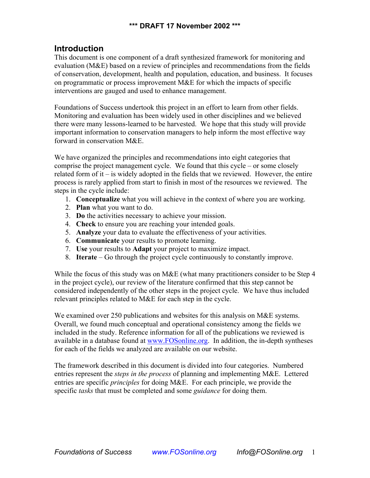#### **\*\*\* DRAFT 17 November 2002 \*\*\***

### <span id="page-4-0"></span>**Introduction**

This document is one component of a draft synthesized framework for monitoring and evaluation (M&E) based on a review of principles and recommendations from the fields of conservation, development, health and population, education, and business. It focuses on programmatic or process improvement M&E for which the impacts of specific interventions are gauged and used to enhance management.

Foundations of Success undertook this project in an effort to learn from other fields. Monitoring and evaluation has been widely used in other disciplines and we believed there were many lessons-learned to be harvested. We hope that this study will provide important information to conservation managers to help inform the most effective way forward in conservation M&E.

We have organized the principles and recommendations into eight categories that comprise the project management cycle. We found that this cycle – or some closely related form of it – is widely adopted in the fields that we reviewed. However, the entire process is rarely applied from start to finish in most of the resources we reviewed. The steps in the cycle include:

- 1. **Conceptualize** what you will achieve in the context of where you are working.
- 2. **Plan** what you want to do.
- 3. **Do** the activities necessary to achieve your mission.
- 4. **Check** to ensure you are reaching your intended goals.
- 5. **Analyze** your data to evaluate the effectiveness of your activities.
- 6. **Communicate** your results to promote learning.
- 7. **Use** your results to **Adapt** your project to maximize impact.
- 8. **Iterate** Go through the project cycle continuously to constantly improve.

While the focus of this study was on M&E (what many practitioners consider to be Step 4 in the project cycle), our review of the literature confirmed that this step cannot be considered independently of the other steps in the project cycle. We have thus included relevant principles related to M&E for each step in the cycle.

We examined over 250 publications and websites for this analysis on M&E systems. Overall, we found much conceptual and operational consistency among the fields we included in the study. Reference information for all of the publications we reviewed is available in a database found at [www.FOSonline.org.](http://www.fosonline.org/) In addition, the in-depth syntheses for each of the fields we analyzed are available on our website.

The framework described in this document is divided into four categories. Numbered entries represent the *steps in the process* of planning and implementing M&E. Lettered entries are specific *principles* for doing M&E. For each principle, we provide the specific *tasks* that must be completed and some *guidance* for doing them.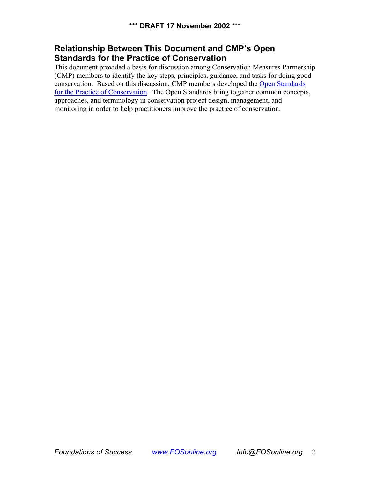## <span id="page-5-0"></span>**Relationship Between This Document and CMP's Open Standards for the Practice of Conservation**

This document provided a basis for discussion among Conservation Measures Partnership (CMP) members to identify the key steps, principles, guidance, and tasks for doing good conservation. Based on this discussion, CMP members developed the [Open Standards](http://www.conservationmeasures.org/CMP/Library/CMP_Open_Standards_v1.0.pdf)  [for the Practice of Conservation](http://www.conservationmeasures.org/CMP/Library/CMP_Open_Standards_v1.0.pdf). The Open Standards bring together common concepts, approaches, and terminology in conservation project design, management, and monitoring in order to help practitioners improve the practice of conservation.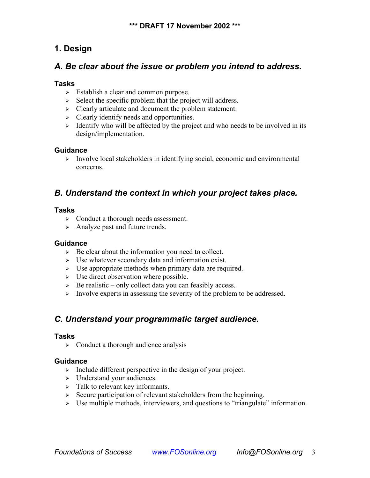## <span id="page-6-0"></span>**1. Design**

## *A. Be clear about the issue or problem you intend to address.*

### **Tasks**

- $\geq$  Establish a clear and common purpose.
- $\triangleright$  Select the specific problem that the project will address.
- ¾ Clearly articulate and document the problem statement.
- $\triangleright$  Clearly identify needs and opportunities.
- $\geq$  Identify who will be affected by the project and who needs to be involved in its design/implementation.

#### **Guidance**

¾ Involve local stakeholders in identifying social, economic and environmental concerns.

## *B. Understand the context in which your project takes place.*

#### **Tasks**

- ¾ Conduct a thorough needs assessment.
- $\triangleright$  Analyze past and future trends.

### **Guidance**

- $\triangleright$  Be clear about the information you need to collect.
- $\triangleright$  Use whatever secondary data and information exist.
- $\triangleright$  Use appropriate methods when primary data are required.
- $\triangleright$  Use direct observation where possible.
- $\triangleright$  Be realistic only collect data you can feasibly access.
- $\triangleright$  Involve experts in assessing the severity of the problem to be addressed.

## *C. Understand your programmatic target audience.*

### **Tasks**

 $\triangleright$  Conduct a thorough audience analysis

- $\triangleright$  Include different perspective in the design of your project.
- ¾ Understand your audiences.
- $\geq$  Talk to relevant key informants.
- $\geq$  Secure participation of relevant stakeholders from the beginning.
- $\triangleright$  Use multiple methods, interviewers, and questions to "triangulate" information.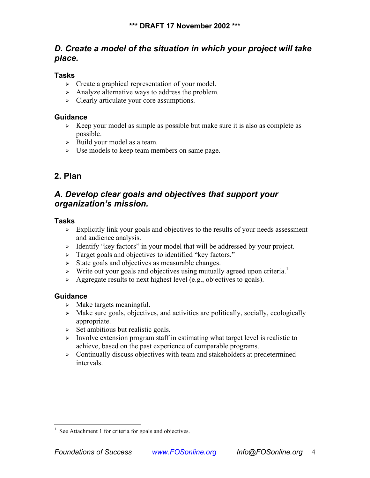## <span id="page-7-0"></span>*D. Create a model of the situation in which your project will take place.*

### **Tasks**

- $\triangleright$  Create a graphical representation of your model.
- $\triangleright$  Analyze alternative ways to address the problem.
- $\triangleright$  Clearly articulate your core assumptions.

### **Guidance**

- $\triangleright$  Keep your model as simple as possible but make sure it is also as complete as possible.
- $\triangleright$  Build your model as a team.
- $\triangleright$  Use models to keep team members on same page.

## **2. Plan**

## *A. Develop clear goals and objectives that support your organization's mission.*

### **Tasks**

- $\triangleright$  Explicitly link your goals and objectives to the results of your needs assessment and audience analysis.
- $\geq$  Identify "key factors" in your model that will be addressed by your project.
- ¾ Target goals and objectives to identified "key factors."
- $\triangleright$  State goals and objectives as measurable changes.
- $\triangleright$  Write out your goals and objectives using mutually agreed upon criteria.<sup>[1](#page-7-1)</sup>
- $\triangleright$  Aggregate results to next highest level (e.g., objectives to goals).

- $\triangleright$  Make targets meaningful.
- $\triangleright$  Make sure goals, objectives, and activities are politically, socially, ecologically appropriate.
- $\triangleright$  Set ambitious but realistic goals.
- $\triangleright$  Involve extension program staff in estimating what target level is realistic to achieve, based on the past experience of comparable programs.
- $\triangleright$  Continually discuss objectives with team and stakeholders at predetermined intervals.

<span id="page-7-1"></span><sup>&</sup>lt;sup>1</sup> See Attachment 1 for criteria for goals and objectives.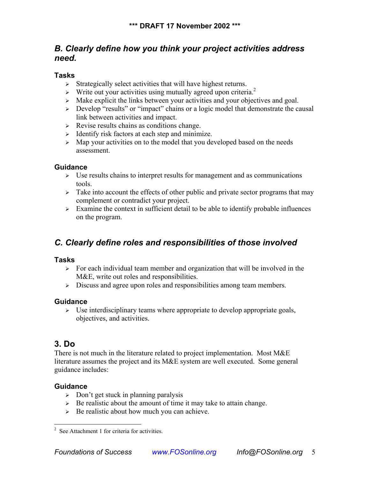## <span id="page-8-0"></span>*B. Clearly define how you think your project activities address need.*

### **Tasks**

- $\triangleright$  Strategically select activities that will have highest returns.
- $\triangleright$  Write out your activities using mutually agreed upon criteria.<sup>[2](#page-8-1)</sup>
- $\triangleright$  Make explicit the links between your activities and your objectives and goal.
- ¾ Develop "results" or "impact" chains or a logic model that demonstrate the causal link between activities and impact.
- $\triangleright$  Revise results chains as conditions change.
- $\geq$  Identify risk factors at each step and minimize.
- ¾ Map your activities on to the model that you developed based on the needs assessment.

### **Guidance**

- $\triangleright$  Use results chains to interpret results for management and as communications tools.
- $\triangleright$  Take into account the effects of other public and private sector programs that may complement or contradict your project.
- $\geq$  Examine the context in sufficient detail to be able to identify probable influences on the program.

## *C. Clearly define roles and responsibilities of those involved*

### **Tasks**

- $\triangleright$  For each individual team member and organization that will be involved in the M&E, write out roles and responsibilities.
- $\geq$  Discuss and agree upon roles and responsibilities among team members.

### **Guidance**

 $\triangleright$  Use interdisciplinary teams where appropriate to develop appropriate goals, objectives, and activities.

## **3. Do**

There is not much in the literature related to project implementation. Most M&E literature assumes the project and its M&E system are well executed. Some general guidance includes:

- $\geq$  Don't get stuck in planning paralysis
- $\triangleright$  Be realistic about the amount of time it may take to attain change.
- $\triangleright$  Be realistic about how much you can achieve.

<span id="page-8-1"></span> 2 See Attachment 1 for criteria for activities.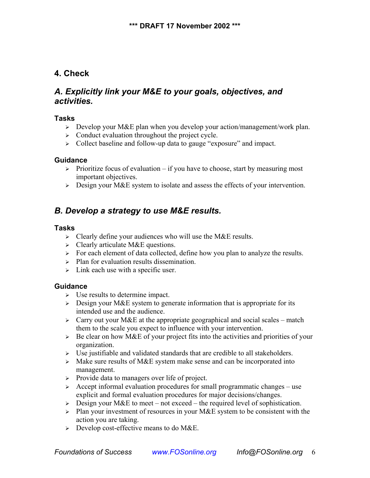## <span id="page-9-0"></span>**4. Check**

## *A. Explicitly link your M&E to your goals, objectives, and activities.*

### **Tasks**

- ¾ Develop your M&E plan when you develop your action/management/work plan.
- $\triangleright$  Conduct evaluation throughout the project cycle.
- $\geq$  Collect baseline and follow-up data to gauge "exposure" and impact.

#### **Guidance**

- $\triangleright$  Prioritize focus of evaluation if you have to choose, start by measuring most important objectives.
- $\triangleright$  Design your M&E system to isolate and assess the effects of your intervention.

## *B. Develop a strategy to use M&E results.*

#### **Tasks**

- $\triangleright$  Clearly define your audiences who will use the M&E results.
- $\triangleright$  Clearly articulate M&E questions.
- $\triangleright$  For each element of data collected, define how you plan to analyze the results.
- $\triangleright$  Plan for evaluation results dissemination.
- $\geq$  Link each use with a specific user.

- $\triangleright$  Use results to determine impact.
- $\geq$  Design your M&E system to generate information that is appropriate for its intended use and the audience.
- $\geq$  Carry out your M&E at the appropriate geographical and social scales match them to the scale you expect to influence with your intervention.
- $\triangleright$  Be clear on how M&E of your project fits into the activities and priorities of your organization.
- $\triangleright$  Use justifiable and validated standards that are credible to all stakeholders.
- $\geq$  Make sure results of M&E system make sense and can be incorporated into management.
- ¾ Provide data to managers over life of project.
- $\geq$  Accept informal evaluation procedures for small programmatic changes use explicit and formal evaluation procedures for major decisions/changes.
- $\geq$  Design your M&E to meet not exceed the required level of sophistication.
- $\triangleright$  Plan your investment of resources in your M&E system to be consistent with the action you are taking.
- $\triangleright$  Develop cost-effective means to do M&E.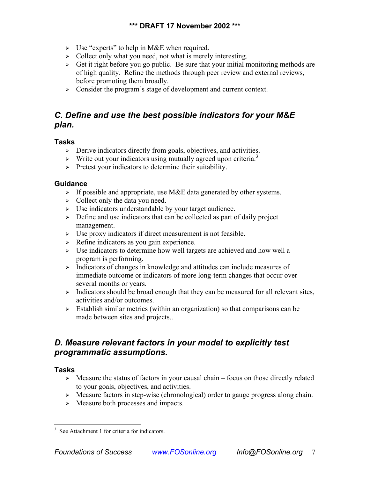- <span id="page-10-0"></span> $\triangleright$  Use "experts" to help in M&E when required.
- $\triangleright$  Collect only what you need, not what is merely interesting.
- $\triangleright$  Get it right before you go public. Be sure that your initial monitoring methods are of high quality. Refine the methods through peer review and external reviews, before promoting them broadly.
- ¾ Consider the program's stage of development and current context.

## *C. Define and use the best possible indicators for your M&E plan.*

### **Tasks**

- $\triangleright$  Derive indicators directly from goals, objectives, and activities.
- $\triangleright$  Write out your indicators using mutually agreed upon criteria.<sup>[3](#page-10-1)</sup>
- $\triangleright$  Pretest your indicators to determine their suitability.

### **Guidance**

- $\triangleright$  If possible and appropriate, use M&E data generated by other systems.
- $\geq$  Collect only the data you need.
- ¾ Use indicators understandable by your target audience.
- $\geq$  Define and use indicators that can be collected as part of daily project management.
- $\triangleright$  Use proxy indicators if direct measurement is not feasible.
- $\triangleright$  Refine indicators as you gain experience.
- $\triangleright$  Use indicators to determine how well targets are achieved and how well a program is performing.
- $\triangleright$  Indicators of changes in knowledge and attitudes can include measures of immediate outcome or indicators of more long-term changes that occur over several months or years.
- $\triangleright$  Indicators should be broad enough that they can be measured for all relevant sites, activities and/or outcomes.
- $\geq$  Establish similar metrics (within an organization) so that comparisons can be made between sites and projects..

## *D. Measure relevant factors in your model to explicitly test programmatic assumptions.*

### **Tasks**

- $\triangleright$  Measure the status of factors in your causal chain focus on those directly related to your goals, objectives, and activities.
- ¾ Measure factors in step-wise (chronological) order to gauge progress along chain.
- $\geq$  Measure both processes and impacts.

<span id="page-10-1"></span> 3 See Attachment 1 for criteria for indicators.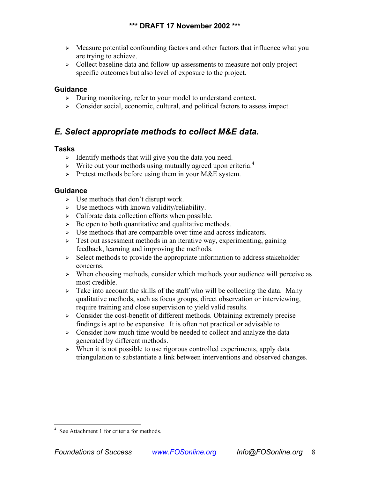- <span id="page-11-0"></span> $\triangleright$  Measure potential confounding factors and other factors that influence what you are trying to achieve.
- ¾ Collect baseline data and follow-up assessments to measure not only projectspecific outcomes but also level of exposure to the project.

#### **Guidance**

- ¾ During monitoring, refer to your model to understand context.
- $\triangleright$  Consider social, economic, cultural, and political factors to assess impact.

## *E. Select appropriate methods to collect M&E data.*

#### **Tasks**

- $\geq$  Identify methods that will give you the data you need.
- $\triangleright$  Write out your methods using mutually agreed upon criteria.<sup>[4](#page-11-1)</sup>
- $\triangleright$  Pretest methods before using them in your M&E system.

- $\triangleright$  Use methods that don't disrupt work.
- $\triangleright$  Use methods with known validity/reliability.
- $\triangleright$  Calibrate data collection efforts when possible.
- $\triangleright$  Be open to both quantitative and qualitative methods.
- $\triangleright$  Use methods that are comparable over time and across indicators.
- $\geq$  Test out assessment methods in an iterative way, experimenting, gaining feedback, learning and improving the methods.
- $\geq$  Select methods to provide the appropriate information to address stakeholder concerns.
- $\triangleright$  When choosing methods, consider which methods your audience will perceive as most credible.
- $\geq$  Take into account the skills of the staff who will be collecting the data. Many qualitative methods, such as focus groups, direct observation or interviewing, require training and close supervision to yield valid results.
- $\geq$  Consider the cost-benefit of different methods. Obtaining extremely precise findings is apt to be expensive. It is often not practical or advisable to
- $\geq$  Consider how much time would be needed to collect and analyze the data generated by different methods.
- $\triangleright$  When it is not possible to use rigorous controlled experiments, apply data triangulation to substantiate a link between interventions and observed changes.

<span id="page-11-1"></span> 4 See Attachment 1 for criteria for methods.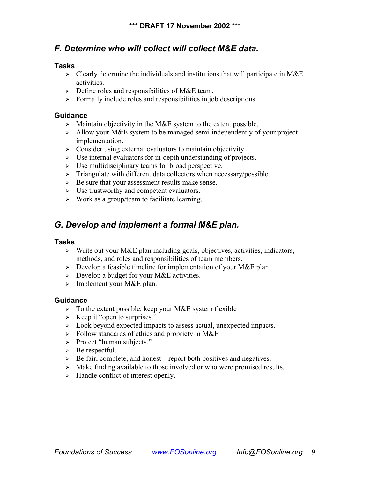## <span id="page-12-0"></span>*F. Determine who will collect will collect M&E data.*

#### **Tasks**

- $\triangleright$  Clearly determine the individuals and institutions that will participate in M&E activities.
- $\triangleright$  Define roles and responsibilities of M&E team.
- $\triangleright$  Formally include roles and responsibilities in job descriptions.

#### **Guidance**

- $\triangleright$  Maintain objectivity in the M&E system to the extent possible.
- $\geq$  Allow your M&E system to be managed semi-independently of your project implementation.
- $\triangleright$  Consider using external evaluators to maintain objectivity.
- $\triangleright$  Use internal evaluators for in-depth understanding of projects.
- $\triangleright$  Use multidisciplinary teams for broad perspective.
- $\triangleright$  Triangulate with different data collectors when necessary/possible.
- $\triangleright$  Be sure that your assessment results make sense.
- $\triangleright$  Use trustworthy and competent evaluators.
- $\triangleright$  Work as a group/team to facilitate learning.

## *G. Develop and implement a formal M&E plan.*

#### **Tasks**

- $\triangleright$  Write out your M&E plan including goals, objectives, activities, indicators, methods, and roles and responsibilities of team members.
- $\triangleright$  Develop a feasible timeline for implementation of your M&E plan.
- $\triangleright$  Develop a budget for your M&E activities.
- $\triangleright$  Implement your M&E plan.

- $\triangleright$  To the extent possible, keep your M&E system flexible
- $\triangleright$  Keep it "open to surprises."
- ¾ Look beyond expected impacts to assess actual, unexpected impacts.
- $\triangleright$  Follow standards of ethics and propriety in M&E
- ¾ Protect "human subjects."
- $\triangleright$  Be respectful.
- $\triangleright$  Be fair, complete, and honest report both positives and negatives.
- $\triangleright$  Make finding available to those involved or who were promised results.
- $\triangleright$  Handle conflict of interest openly.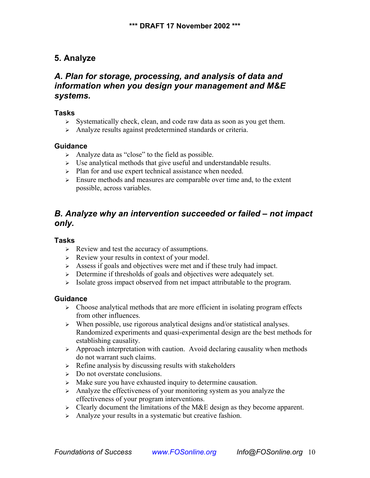## <span id="page-13-0"></span>**5. Analyze**

## *A. Plan for storage, processing, and analysis of data and information when you design your management and M&E systems.*

#### **Tasks**

- $\triangleright$  Systematically check, clean, and code raw data as soon as you get them.
- ¾ Analyze results against predetermined standards or criteria.

### **Guidance**

- $\triangleright$  Analyze data as "close" to the field as possible.
- $\triangleright$  Use analytical methods that give useful and understandable results.
- $\triangleright$  Plan for and use expert technical assistance when needed.
- $\geq$  Ensure methods and measures are comparable over time and, to the extent possible, across variables.

## *B. Analyze why an intervention succeeded or failed – not impact only.*

#### **Tasks**

- $\triangleright$  Review and test the accuracy of assumptions.
- $\triangleright$  Review your results in context of your model.
- $\triangleright$  Assess if goals and objectives were met and if these truly had impact.
- $\triangleright$  Determine if thresholds of goals and objectives were adequately set.
- $\triangleright$  Isolate gross impact observed from net impact attributable to the program.

- $\triangleright$  Choose analytical methods that are more efficient in isolating program effects from other influences.
- $\triangleright$  When possible, use rigorous analytical designs and/or statistical analyses. Randomized experiments and quasi-experimental design are the best methods for establishing causality.
- ¾ Approach interpretation with caution. Avoid declaring causality when methods do not warrant such claims.
- $\triangleright$  Refine analysis by discussing results with stakeholders
- $\geq$  Do not overstate conclusions.
- $\triangleright$  Make sure you have exhausted inquiry to determine causation.
- $\triangleright$  Analyze the effectiveness of your monitoring system as you analyze the effectiveness of your program interventions.
- $\geq$  Clearly document the limitations of the M&E design as they become apparent.
- $\triangleright$  Analyze your results in a systematic but creative fashion.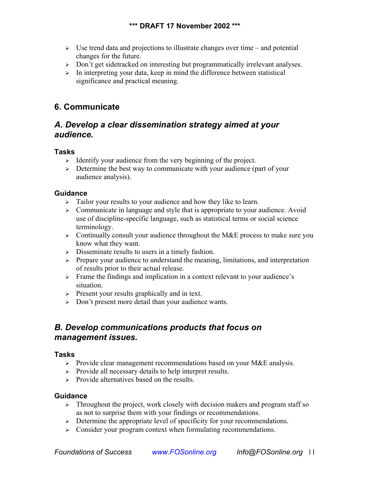- <span id="page-14-0"></span> $\triangleright$  Use trend data and projections to illustrate changes over time – and potential changes for the future.
- ¾ Don't get sidetracked on interesting but programmatically irrelevant analyses.
- $\triangleright$  In interpreting your data, keep in mind the difference between statistical significance and practical meaning.

## **6. Communicate**

## *A. Develop a clear dissemination strategy aimed at your audience.*

### **Tasks**

- $\geq$  Identify your audience from the very beginning of the project.
- $\geq$  Determine the best way to communicate with your audience (part of your audience analysis).

### **Guidance**

- $\triangleright$  Tailor your results to your audience and how they like to learn.
- $\geq$  Communicate in language and style that is appropriate to your audience. Avoid use of discipline-specific language, such as statistical terms or social science terminology.
- $\triangleright$  Continually consult your audience throughout the M&E process to make sure you know what they want.
- $\triangleright$  Disseminate results to users in a timely fashion.
- $\triangleright$  Prepare your audience to understand the meaning, limitations, and interpretation of results prior to their actual release.
- ¾ Frame the findings and implication in a context relevant to your audience's situation.
- $\triangleright$  Present your results graphically and in text.
- ¾ Don't present more detail than your audience wants.

## *B. Develop communications products that focus on management issues.*

### **Tasks**

- ¾ Provide clear management recommendations based on your M&E analysis.
- ¾ Provide all necessary details to help interpret results.
- $\triangleright$  Provide alternatives based on the results.

- $\triangleright$  Throughout the project, work closely with decision makers and program staff so as not to surprise them with your findings or recommendations.
- $\triangleright$  Determine the appropriate level of specificity for your recommendations.
- $\geq$  Consider your program context when formulating recommendations.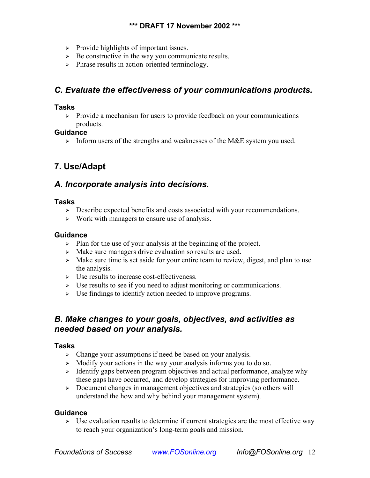- <span id="page-15-0"></span>¾ Provide highlights of important issues.
- $\triangleright$  Be constructive in the way you communicate results.
- $\triangleright$  Phrase results in action-oriented terminology.

## *C. Evaluate the effectiveness of your communications products.*

#### **Tasks**

 $\triangleright$  Provide a mechanism for users to provide feedback on your communications products.

#### **Guidance**

 $\triangleright$  Inform users of the strengths and weaknesses of the M&E system you used.

## **7. Use/Adapt**

## *A. Incorporate analysis into decisions.*

#### **Tasks**

- $\triangleright$  Describe expected benefits and costs associated with your recommendations.
- $\triangleright$  Work with managers to ensure use of analysis.

### **Guidance**

- $\triangleright$  Plan for the use of your analysis at the beginning of the project.
- $\triangleright$  Make sure managers drive evaluation so results are used.
- $\triangleright$  Make sure time is set aside for your entire team to review, digest, and plan to use the analysis.
- $\triangleright$  Use results to increase cost-effectiveness.
- $\triangleright$  Use results to see if you need to adjust monitoring or communications.
- $\triangleright$  Use findings to identify action needed to improve programs.

## *B. Make changes to your goals, objectives, and activities as needed based on your analysis.*

### **Tasks**

- $\triangleright$  Change your assumptions if need be based on your analysis.
- $\geq$  Modify your actions in the way your analysis informs you to do so.
- ¾ Identify gaps between program objectives and actual performance, analyze why these gaps have occurred, and develop strategies for improving performance.
- ¾ Document changes in management objectives and strategies (so others will understand the how and why behind your management system).

### **Guidance**

 $\triangleright$  Use evaluation results to determine if current strategies are the most effective way to reach your organization's long-term goals and mission.